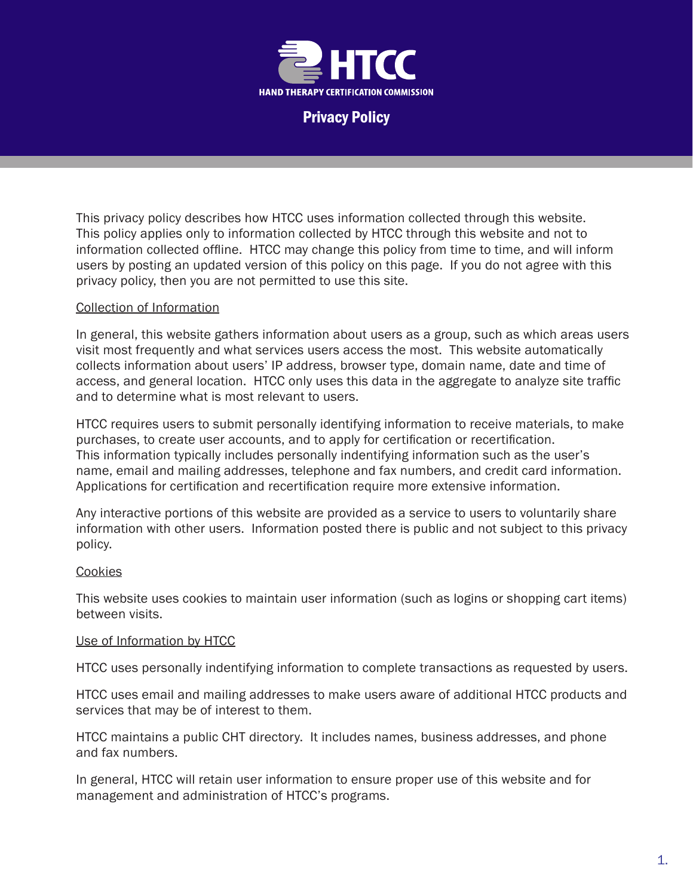

Privacy Policy

This privacy policy describes how HTCC uses information collected through this website. This policy applies only to information collected by HTCC through this website and not to information collected offline. HTCC may change this policy from time to time, and will inform users by posting an updated version of this policy on this page. If you do not agree with this privacy policy, then you are not permitted to use this site.

# Collection of Information

In general, this website gathers information about users as a group, such as which areas users visit most frequently and what services users access the most. This website automatically collects information about users' IP address, browser type, domain name, date and time of access, and general location. HTCC only uses this data in the aggregate to analyze site traffic and to determine what is most relevant to users.

HTCC requires users to submit personally identifying information to receive materials, to make purchases, to create user accounts, and to apply for certification or recertification. This information typically includes personally indentifying information such as the user's name, email and mailing addresses, telephone and fax numbers, and credit card information. Applications for certification and recertification require more extensive information.

Any interactive portions of this website are provided as a service to users to voluntarily share information with other users. Information posted there is public and not subject to this privacy policy.

# **Cookies**

This website uses cookies to maintain user information (such as logins or shopping cart items) between visits.

# Use of Information by HTCC

HTCC uses personally indentifying information to complete transactions as requested by users.

HTCC uses email and mailing addresses to make users aware of additional HTCC products and services that may be of interest to them.

HTCC maintains a public CHT directory. It includes names, business addresses, and phone and fax numbers.

In general, HTCC will retain user information to ensure proper use of this website and for management and administration of HTCC's programs.